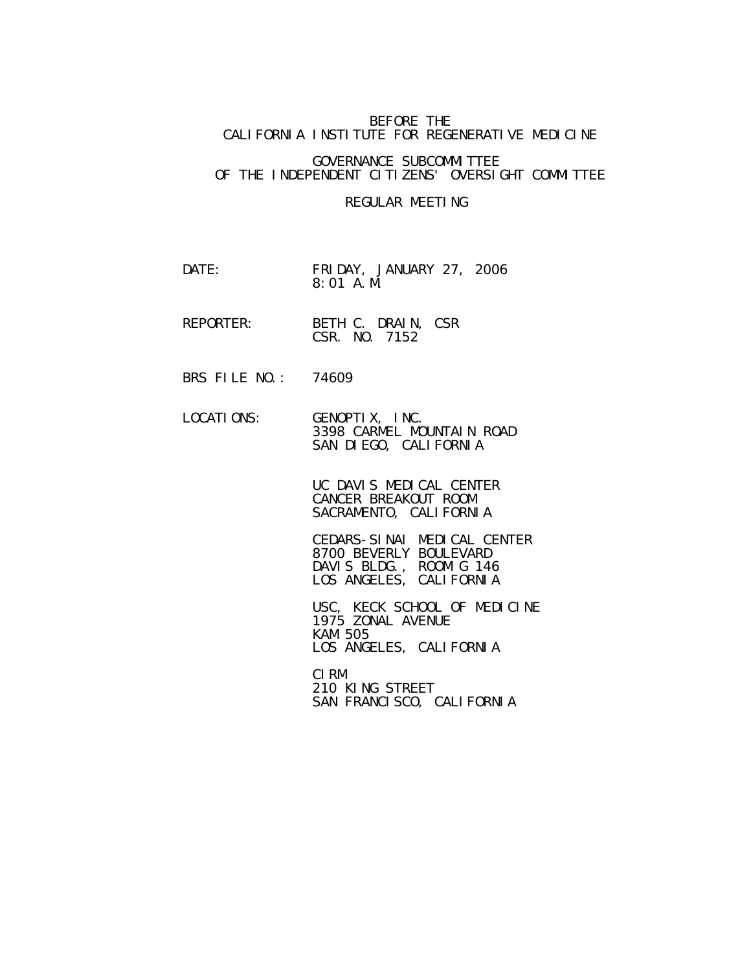## BEFORE THE CALIFORNIA INSTITUTE FOR REGENERATIVE MEDICINE

## GOVERNANCE SUBCOMMITTEE OF THE INDEPENDENT CITIZENS' OVERSIGHT COMMITTEE

## REGULAR MEETING

- DATE: FRIDAY, JANUARY 27, 2006 8:01 A.M.
- REPORTER: BETH C. DRAIN, CSR CSR. NO. 7152
- BRS FILE NO.: 74609

 LOCATIONS: GENOPTIX, INC. 3398 CARMEL MOUNTAIN ROAD SAN DIEGO, CALIFORNIA

> UC DAVIS MEDICAL CENTER CANCER BREAKOUT ROOM SACRAMENTO, CALIFORNIA

 CEDARS-SINAI MEDICAL CENTER 8700 BEVERLY BOULEVARD DAVIS BLDG., ROOM G 146 LOS ANGELES, CALIFORNIA

USC, KECK SCHOOL OF MEDICINE 1975 ZONAL AVENUE KAM 505 LOS ANGELES, CALIFORNIA

**CIRM** CIRM 210 KING STREET SAN FRANCISCO, CALIFORNIA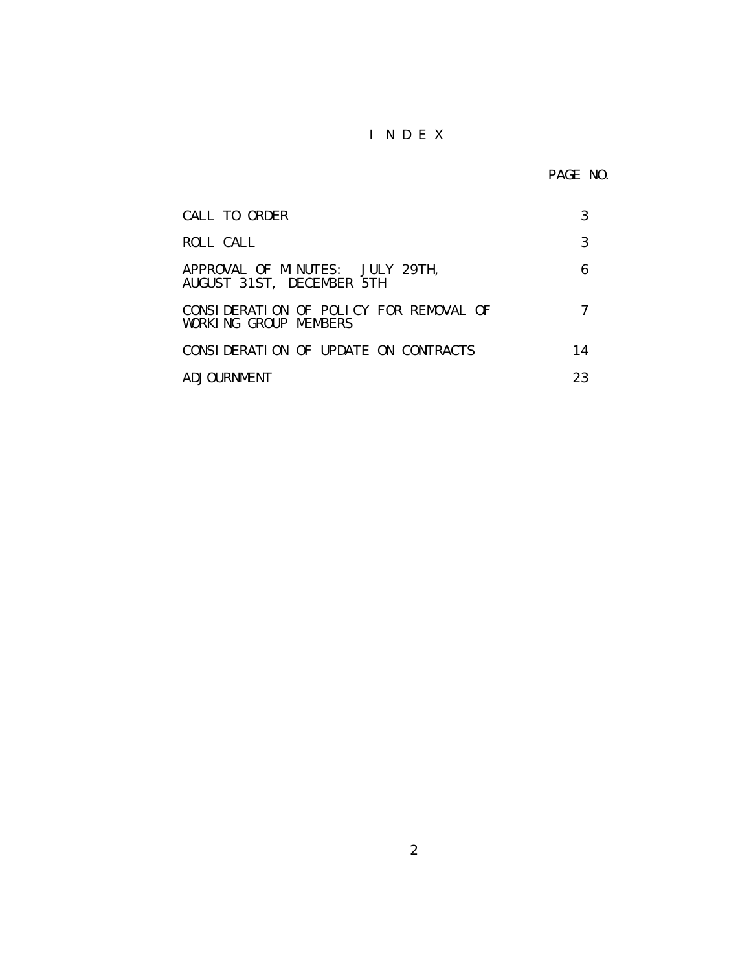## I N D E X

PAGE NO.

| CALL TO ORDER                                                   |    |
|-----------------------------------------------------------------|----|
| ROLL CALL                                                       | 3  |
| APPROVAL OF MINUTES: JULY 29TH,<br>AUGUST 31ST, DECEMBER 5TH    | 6  |
| CONSIDERATION OF POLICY FOR REMOVAL OF<br>WORKING GROUP MEMBERS |    |
| CONSIDERATION OF UPDATE ON CONTRACTS                            | 14 |
| ADJOURNMENT                                                     | 23 |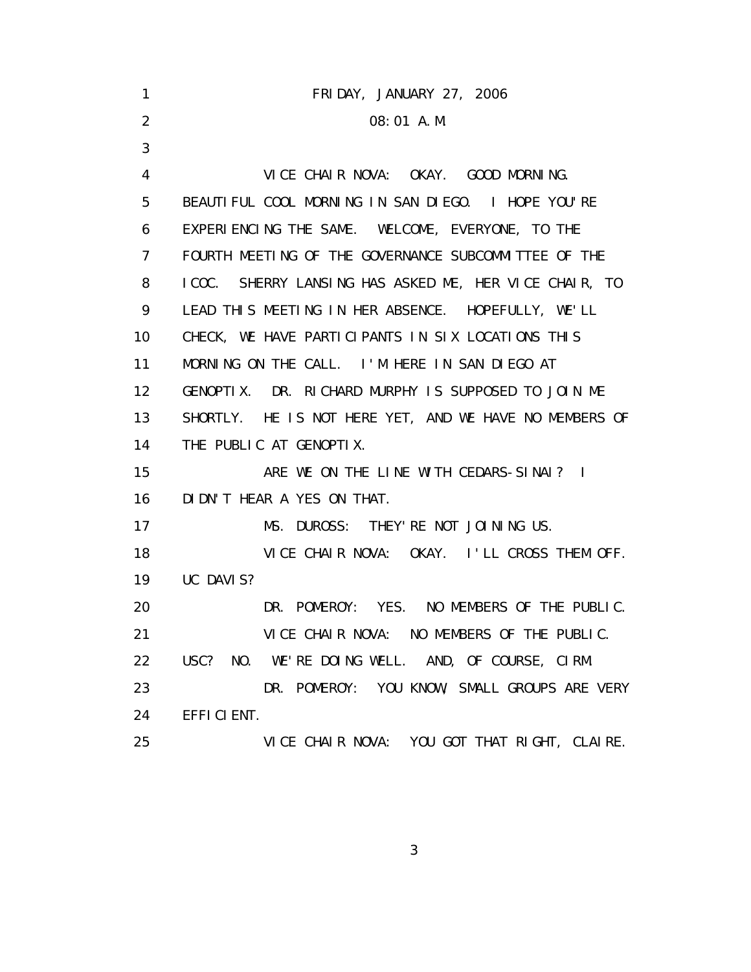| 1                 | FRIDAY, JANUARY 27, 2006                               |
|-------------------|--------------------------------------------------------|
| 2                 | 08:01 A.M.                                             |
| 3                 |                                                        |
| 4                 | VICE CHAIR NOVA: OKAY. GOOD MORNING.                   |
| 5                 | BEAUTIFUL COOL MORNING IN SAN DIEGO. I HOPE YOU'RE     |
| 6                 | EXPERIENCING THE SAME. WELCOME, EVERYONE, TO THE       |
| $\overline{7}$    | FOURTH MEETING OF THE GOVERNANCE SUBCOMMITTEE OF THE   |
| 8                 | I COC. SHERRY LANSING HAS ASKED ME, HER VICE CHAIR, TO |
| 9                 | LEAD THIS MEETING IN HER ABSENCE. HOPEFULLY, WE'LL     |
| 10                | CHECK, WE HAVE PARTICIPANTS IN SIX LOCATIONS THIS      |
| 11                | MORNING ON THE CALL. I'M HERE IN SAN DIEGO AT          |
| $12 \overline{ }$ | GENOPTIX. DR. RICHARD MURPHY IS SUPPOSED TO JOIN ME    |
| 13                | SHORTLY. HE IS NOT HERE YET, AND WE HAVE NO MEMBERS OF |
| 14                | THE PUBLIC AT GENOPTIX.                                |
| 15                | ARE WE ON THE LINE WITH CEDARS-SINAI? I                |
| 16                | DI DN'T HEAR A YES ON THAT.                            |
| 17                | MS. DUROSS: THEY' RE NOT JOINING US.                   |
| 18                | VICE CHAIR NOVA: OKAY. I'LL CROSS THEM OFF.            |
| 19                | UC DAVIS?                                              |
| 20                | DR. POMEROY: YES. NO MEMBERS OF THE PUBLIC.            |
| 21                | VICE CHAIR NOVA: NO MEMBERS OF THE PUBLIC.             |
| 22                | USC? NO. WE'RE DOING WELL. AND, OF COURSE, CIRM.       |
| 23                | DR. POMEROY: YOU KNOW, SMALL GROUPS ARE VERY           |
| 24                | EFFICIENT.                                             |
| 25                | VICE CHAIR NOVA: YOU GOT THAT RIGHT, CLAIRE.           |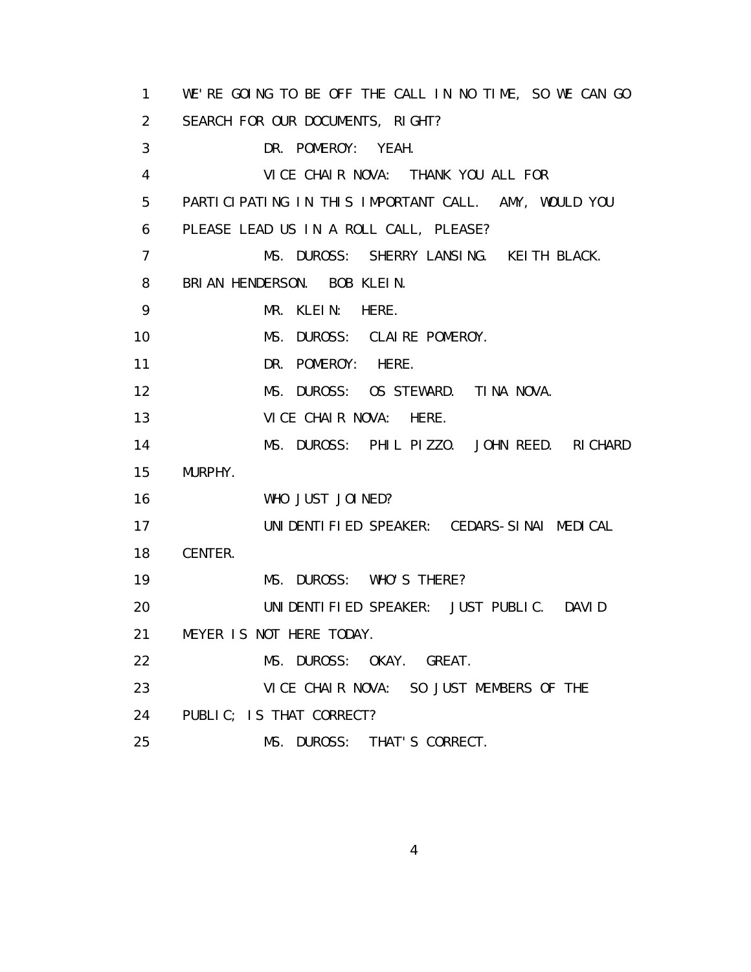1 WE'RE GOING TO BE OFF THE CALL IN NO TIME, SO WE CAN GO 2 SEARCH FOR OUR DOCUMENTS, RIGHT? 3 DR. POMEROY: YEAH. 4 VICE CHAIR NOVA: THANK YOU ALL FOR 5 PARTICIPATING IN THIS IMPORTANT CALL. AMY, WOULD YOU 6 PLEASE LEAD US IN A ROLL CALL, PLEASE? 7 MS. DUROSS: SHERRY LANSING. KEITH BLACK. 8 BRIAN HENDERSON. BOB KLEIN. 9 MR. KLEIN: HERE. 10 MS. DUROSS: CLAIRE POMEROY. 11 DR. POMEROY: HERE. 12 MS. DUROSS: OS STEWARD. TINA NOVA. 13 VICE CHAIR NOVA: HERE. 14 MS. DUROSS: PHIL PIZZO. JOHN REED. RICHARD 15 MURPHY. 16 WHO JUST JOINED? 17 UNIDENTIFIED SPEAKER: CEDARS-SINAI MEDICAL 18 CENTER. 19 MS. DUROSS: WHO'S THERE? 20 UNIDENTIFIED SPEAKER: JUST PUBLIC. DAVID 21 MEYER IS NOT HERE TODAY. 22 MS. DUROSS: OKAY. GREAT. 23 VICE CHAIR NOVA: SO JUST MEMBERS OF THE 24 PUBLIC; IS THAT CORRECT? 25 MS. DUROSS: THAT'S CORRECT.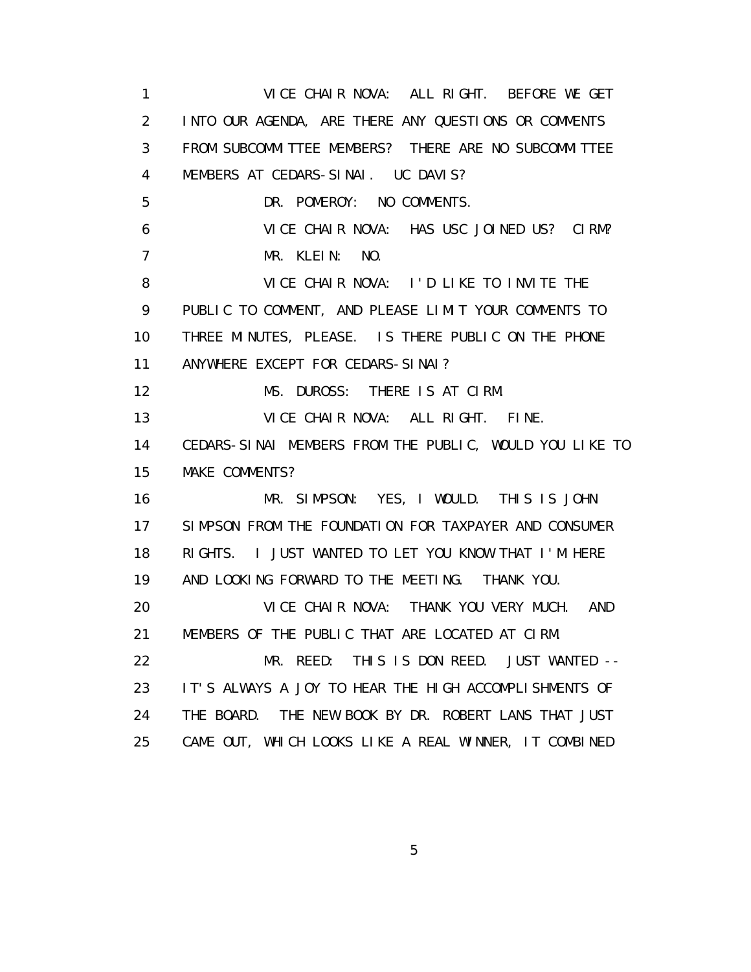1 VICE CHAIR NOVA: ALL RIGHT. BEFORE WE GET 2 INTO OUR AGENDA, ARE THERE ANY QUESTIONS OR COMMENTS 3 FROM SUBCOMMITTEE MEMBERS? THERE ARE NO SUBCOMMITTEE 4 MEMBERS AT CEDARS-SINAI. UC DAVIS? 5 DR. POMEROY: NO COMMENTS. 6 VICE CHAIR NOVA: HAS USC JOINED US? CIRM? 7 MR. KLEIN: NO. 8 VICE CHAIR NOVA: I'D LIKE TO INVITE THE 9 PUBLIC TO COMMENT, AND PLEASE LIMIT YOUR COMMENTS TO 10 THREE MINUTES, PLEASE. IS THERE PUBLIC ON THE PHONE 11 ANYWHERE EXCEPT FOR CEDARS-SINAI? 12 MS. DUROSS: THERE IS AT CIRM. 13 VICE CHAIR NOVA: ALL RIGHT. FINE. 14 CEDARS-SINAI MEMBERS FROM THE PUBLIC, WOULD YOU LIKE TO 15 MAKE COMMENTS? 16 MR. SIMPSON: YES, I WOULD. THIS IS JOHN 17 SIMPSON FROM THE FOUNDATION FOR TAXPAYER AND CONSUMER 18 RIGHTS. I JUST WANTED TO LET YOU KNOW THAT I'M HERE 19 AND LOOKING FORWARD TO THE MEETING. THANK YOU. 20 VICE CHAIR NOVA: THANK YOU VERY MUCH. AND 21 MEMBERS OF THE PUBLIC THAT ARE LOCATED AT CIRM. 22 MR. REED: THIS IS DON REED. JUST WANTED -- 23 IT'S ALWAYS A JOY TO HEAR THE HIGH ACCOMPLISHMENTS OF 24 THE BOARD. THE NEW BOOK BY DR. ROBERT LANS THAT JUST 25 CAME OUT, WHICH LOOKS LIKE A REAL WINNER, IT COMBINED

 $\sim$  5  $\sim$  5  $\sim$  5  $\sim$  5  $\sim$  5  $\sim$  5  $\sim$  5  $\sim$  5  $\sim$  5  $\sim$  5  $\sim$  5  $\sim$  5  $\sim$  5  $\sim$  5  $\sim$  5  $\sim$  5  $\sim$  5  $\sim$  5  $\sim$  5  $\sim$  5  $\sim$  5  $\sim$  5  $\sim$  5  $\sim$  5  $\sim$  5  $\sim$  5  $\sim$  5  $\sim$  5  $\sim$  5  $\sim$  5  $\sim$  5  $\sim$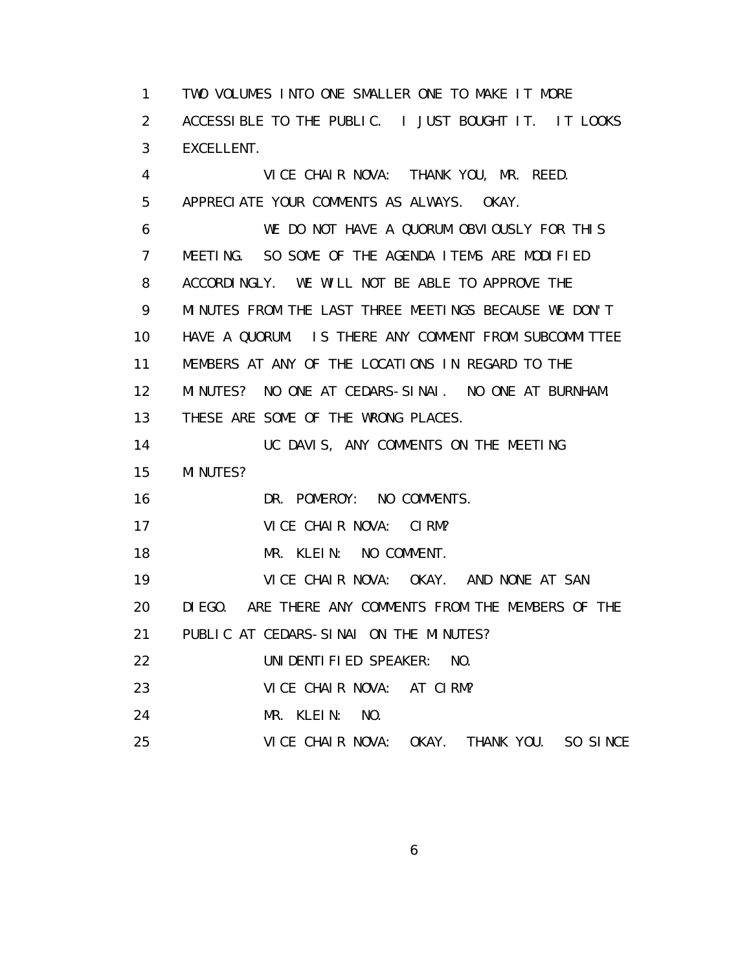1 TWO VOLUMES INTO ONE SMALLER ONE TO MAKE IT MORE 2 ACCESSIBLE TO THE PUBLIC. I JUST BOUGHT IT. IT LOOKS 3 EXCELLENT. 4 VICE CHAIR NOVA: THANK YOU, MR. REED. 5 APPRECIATE YOUR COMMENTS AS ALWAYS. OKAY. 6 WE DO NOT HAVE A QUORUM OBVIOUSLY FOR THIS 7 MEETING. SO SOME OF THE AGENDA ITEMS ARE MODIFIED 8 ACCORDINGLY. WE WILL NOT BE ABLE TO APPROVE THE 9 MINUTES FROM THE LAST THREE MEETINGS BECAUSE WE DON'T 10 HAVE A QUORUM. IS THERE ANY COMMENT FROM SUBCOMMITTEE 11 MEMBERS AT ANY OF THE LOCATIONS IN REGARD TO THE 12 MINUTES? NO ONE AT CEDARS-SINAI. NO ONE AT BURNHAM. 13 THESE ARE SOME OF THE WRONG PLACES. 14 UC DAVIS, ANY COMMENTS ON THE MEETING 15 MINUTES? 16 DR. POMEROY: NO COMMENTS. 17 VICE CHAIR NOVA: CIRM? 18 MR. KLEIN: NO COMMENT. 19 VICE CHAIR NOVA: OKAY. AND NONE AT SAN 20 DIEGO. ARE THERE ANY COMMENTS FROM THE MEMBERS OF THE 21 PUBLIC AT CEDARS-SINAI ON THE MINUTES? 22 UNIDENTIFIED SPEAKER: NO. 23 VICE CHAIR NOVA: AT CIRM? 24 MR. KLEIN: NO. 25 VICE CHAIR NOVA: OKAY. THANK YOU. SO SINCE

 $\sim$  6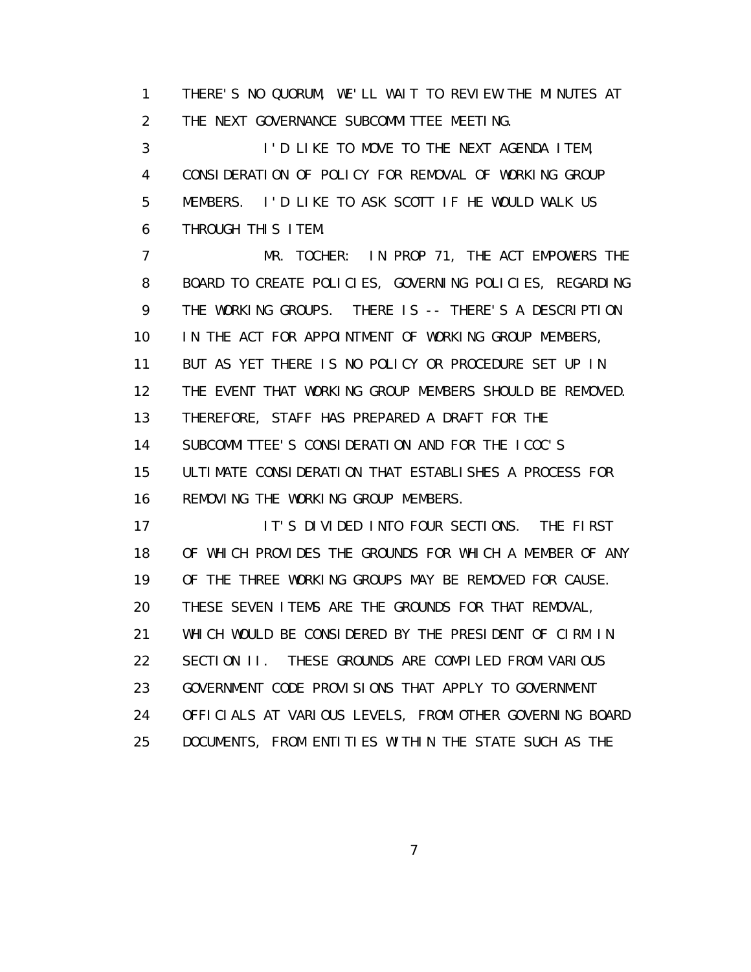1 THERE'S NO QUORUM, WE'LL WAIT TO REVIEW THE MINUTES AT 2 THE NEXT GOVERNANCE SUBCOMMITTEE MEETING.

 3 I'D LIKE TO MOVE TO THE NEXT AGENDA ITEM, 4 CONSIDERATION OF POLICY FOR REMOVAL OF WORKING GROUP 5 MEMBERS. I'D LIKE TO ASK SCOTT IF HE WOULD WALK US 6 THROUGH THIS ITEM.

 7 MR. TOCHER: IN PROP 71, THE ACT EMPOWERS THE 8 BOARD TO CREATE POLICIES, GOVERNING POLICIES, REGARDING 9 THE WORKING GROUPS. THERE IS -- THERE'S A DESCRIPTION 10 IN THE ACT FOR APPOINTMENT OF WORKING GROUP MEMBERS, 11 BUT AS YET THERE IS NO POLICY OR PROCEDURE SET UP IN 12 THE EVENT THAT WORKING GROUP MEMBERS SHOULD BE REMOVED. 13 THEREFORE, STAFF HAS PREPARED A DRAFT FOR THE 14 SUBCOMMITTEE'S CONSIDERATION AND FOR THE ICOC'S 15 ULTIMATE CONSIDERATION THAT ESTABLISHES A PROCESS FOR 16 REMOVING THE WORKING GROUP MEMBERS.

17 IT'S DIVIDED INTO FOUR SECTIONS. THE FIRST 18 OF WHICH PROVIDES THE GROUNDS FOR WHICH A MEMBER OF ANY 19 OF THE THREE WORKING GROUPS MAY BE REMOVED FOR CAUSE. 20 THESE SEVEN ITEMS ARE THE GROUNDS FOR THAT REMOVAL, 21 WHICH WOULD BE CONSIDERED BY THE PRESIDENT OF CIRM IN 22 SECTION II. THESE GROUNDS ARE COMPILED FROM VARIOUS 23 GOVERNMENT CODE PROVISIONS THAT APPLY TO GOVERNMENT 24 OFFICIALS AT VARIOUS LEVELS, FROM OTHER GOVERNING BOARD 25 DOCUMENTS, FROM ENTITIES WITHIN THE STATE SUCH AS THE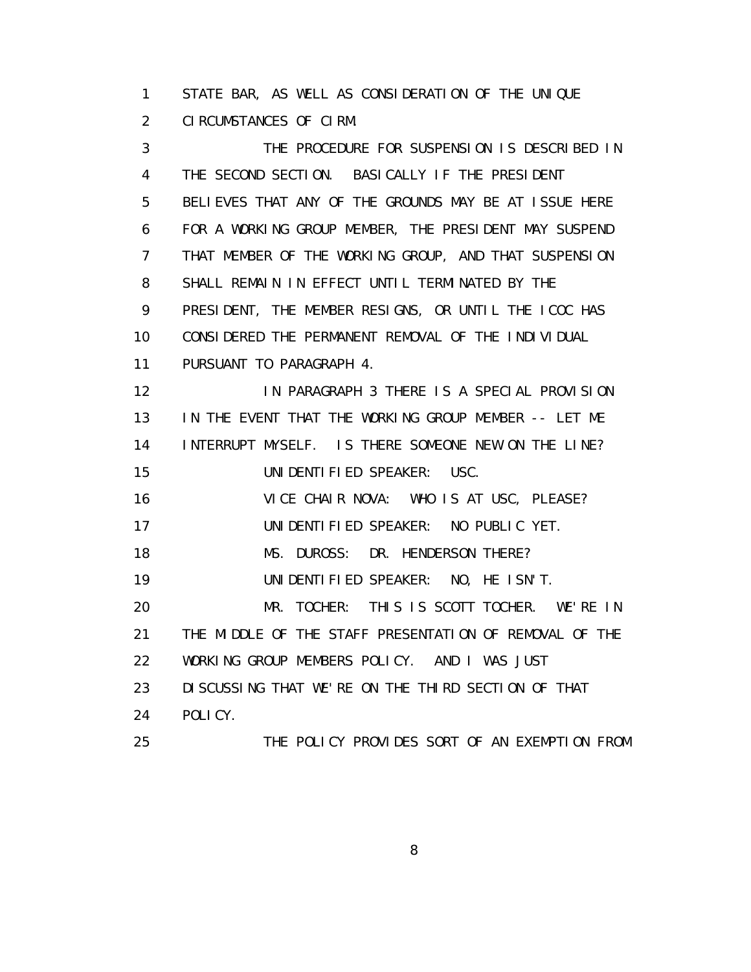1 STATE BAR, AS WELL AS CONSIDERATION OF THE UNIQUE 2 CIRCUMSTANCES OF CIRM.

 3 THE PROCEDURE FOR SUSPENSION IS DESCRIBED IN 4 THE SECOND SECTION. BASICALLY IF THE PRESIDENT 5 BELIEVES THAT ANY OF THE GROUNDS MAY BE AT ISSUE HERE 6 FOR A WORKING GROUP MEMBER, THE PRESIDENT MAY SUSPEND 7 THAT MEMBER OF THE WORKING GROUP, AND THAT SUSPENSION 8 SHALL REMAIN IN EFFECT UNTIL TERMINATED BY THE 9 PRESIDENT, THE MEMBER RESIGNS, OR UNTIL THE ICOC HAS 10 CONSIDERED THE PERMANENT REMOVAL OF THE INDIVIDUAL 11 PURSUANT TO PARAGRAPH 4. 12 IN PARAGRAPH 3 THERE IS A SPECIAL PROVISION 13 IN THE EVENT THAT THE WORKING GROUP MEMBER -- LET ME 14 INTERRUPT MYSELF. IS THERE SOMEONE NEW ON THE LINE? 15 UNIDENTIFIED SPEAKER: USC. 16 VICE CHAIR NOVA: WHO IS AT USC, PLEASE? 17 UNIDENTIFIED SPEAKER: NO PUBLIC YET. 18 MS. DUROSS: DR. HENDERSON THERE? 19 UNIDENTIFIED SPEAKER: NO, HE ISN'T. 20 MR. TOCHER: THIS IS SCOTT TOCHER. WE'RE IN 21 THE MIDDLE OF THE STAFF PRESENTATION OF REMOVAL OF THE 22 WORKING GROUP MEMBERS POLICY. AND I WAS JUST 23 DISCUSSING THAT WE'RE ON THE THIRD SECTION OF THAT 24 POLICY. 25 THE POLICY PROVIDES SORT OF AN EXEMPTION FROM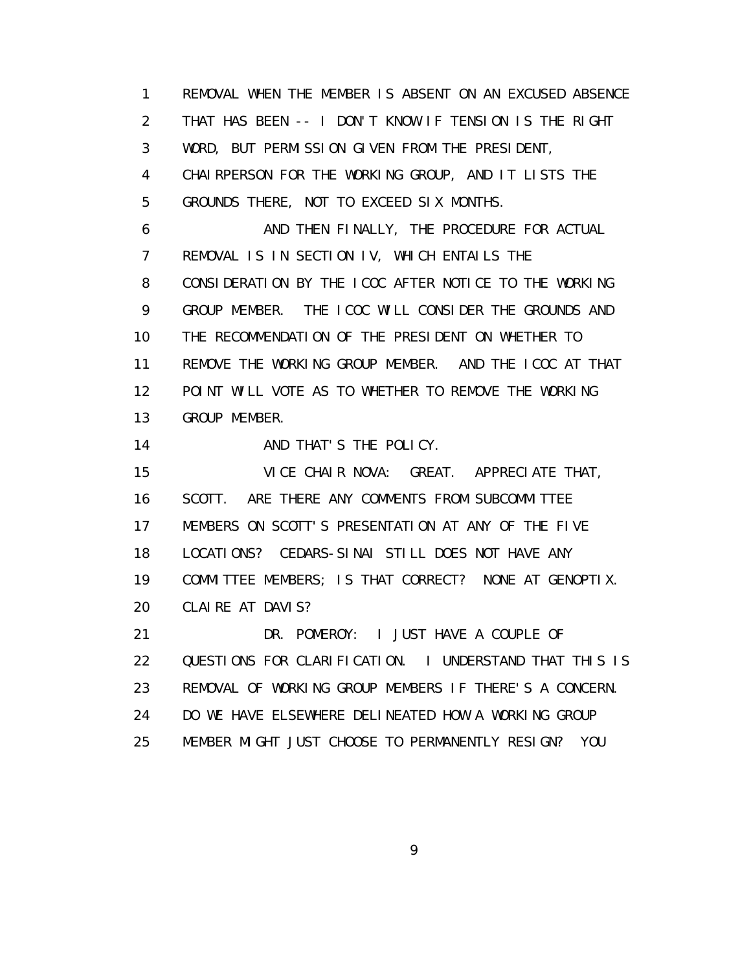1 REMOVAL WHEN THE MEMBER IS ABSENT ON AN EXCUSED ABSENCE 2 THAT HAS BEEN -- I DON'T KNOW IF TENSION IS THE RIGHT 3 WORD, BUT PERMISSION GIVEN FROM THE PRESIDENT, 4 CHAIRPERSON FOR THE WORKING GROUP, AND IT LISTS THE 5 GROUNDS THERE, NOT TO EXCEED SIX MONTHS. 6 AND THEN FINALLY, THE PROCEDURE FOR ACTUAL 7 REMOVAL IS IN SECTION IV, WHICH ENTAILS THE 8 CONSIDERATION BY THE ICOC AFTER NOTICE TO THE WORKING 9 GROUP MEMBER. THE ICOC WILL CONSIDER THE GROUNDS AND 10 THE RECOMMENDATION OF THE PRESIDENT ON WHETHER TO 11 REMOVE THE WORKING GROUP MEMBER. AND THE ICOC AT THAT 12 POINT WILL VOTE AS TO WHETHER TO REMOVE THE WORKING 13 GROUP MEMBER. 14 AND THAT'S THE POLICY. 15 VICE CHAIR NOVA: GREAT. APPRECIATE THAT, 16 SCOTT. ARE THERE ANY COMMENTS FROM SUBCOMMITTEE 17 MEMBERS ON SCOTT'S PRESENTATION AT ANY OF THE FIVE 18 LOCATIONS? CEDARS-SINAI STILL DOES NOT HAVE ANY 19 COMMITTEE MEMBERS; IS THAT CORRECT? NONE AT GENOPTIX. 20 CLAIRE AT DAVIS? 21 DR. POMEROY: I JUST HAVE A COUPLE OF 22 QUESTIONS FOR CLARIFICATION. I UNDERSTAND THAT THIS IS 23 REMOVAL OF WORKING GROUP MEMBERS IF THERE'S A CONCERN. 24 DO WE HAVE ELSEWHERE DELINEATED HOW A WORKING GROUP 25 MEMBER MIGHT JUST CHOOSE TO PERMANENTLY RESIGN? YOU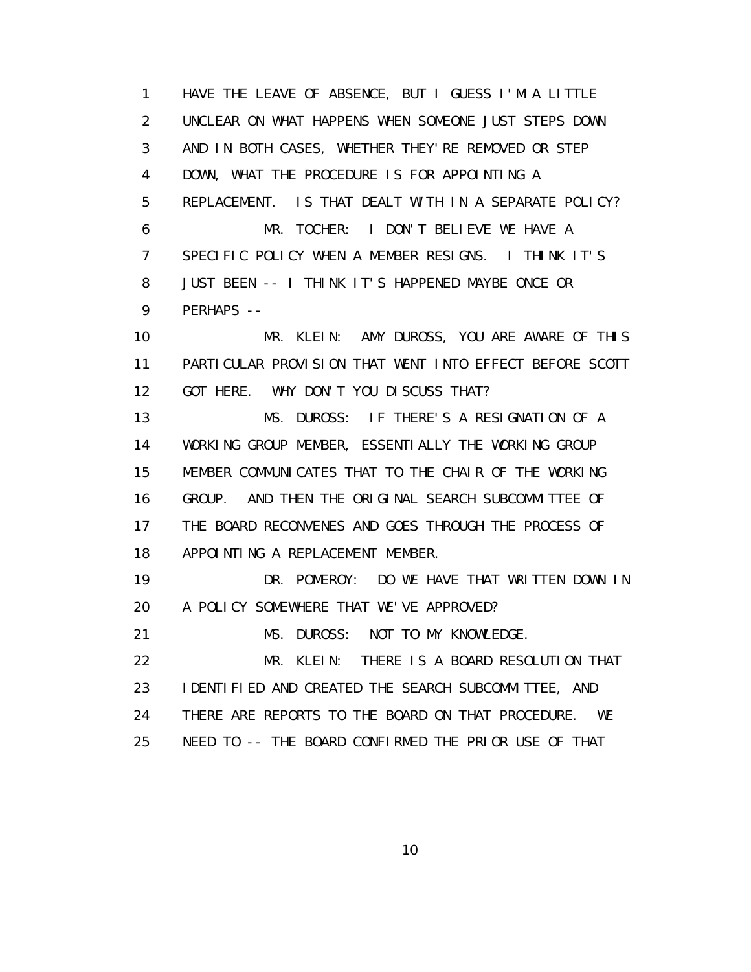1 HAVE THE LEAVE OF ABSENCE, BUT I GUESS I'M A LITTLE 2 UNCLEAR ON WHAT HAPPENS WHEN SOMEONE JUST STEPS DOWN 3 AND IN BOTH CASES, WHETHER THEY'RE REMOVED OR STEP 4 DOWN, WHAT THE PROCEDURE IS FOR APPOINTING A 5 REPLACEMENT. IS THAT DEALT WITH IN A SEPARATE POLICY? 6 MR. TOCHER: I DON'T BELIEVE WE HAVE A 7 SPECIFIC POLICY WHEN A MEMBER RESIGNS. I THINK IT'S 8 JUST BEEN -- I THINK IT'S HAPPENED MAYBE ONCE OR 9 PERHAPS -- 10 MR. KLEIN: AMY DUROSS, YOU ARE AWARE OF THIS 11 PARTICULAR PROVISION THAT WENT INTO EFFECT BEFORE SCOTT 12 GOT HERE. WHY DON'T YOU DISCUSS THAT? 13 MS. DUROSS: IF THERE'S A RESIGNATION OF A 14 WORKING GROUP MEMBER, ESSENTIALLY THE WORKING GROUP 15 MEMBER COMMUNICATES THAT TO THE CHAIR OF THE WORKING 16 GROUP. AND THEN THE ORIGINAL SEARCH SUBCOMMITTEE OF 17 THE BOARD RECONVENES AND GOES THROUGH THE PROCESS OF 18 APPOINTING A REPLACEMENT MEMBER. 19 DR. POMEROY: DO WE HAVE THAT WRITTEN DOWN IN 20 A POLICY SOMEWHERE THAT WE'VE APPROVED? 21 MS. DUROSS: NOT TO MY KNOWLEDGE. 22 MR. KLEIN: THERE IS A BOARD RESOLUTION THAT 23 IDENTIFIED AND CREATED THE SEARCH SUBCOMMITTEE, AND 24 THERE ARE REPORTS TO THE BOARD ON THAT PROCEDURE. WE 25 NEED TO -- THE BOARD CONFIRMED THE PRIOR USE OF THAT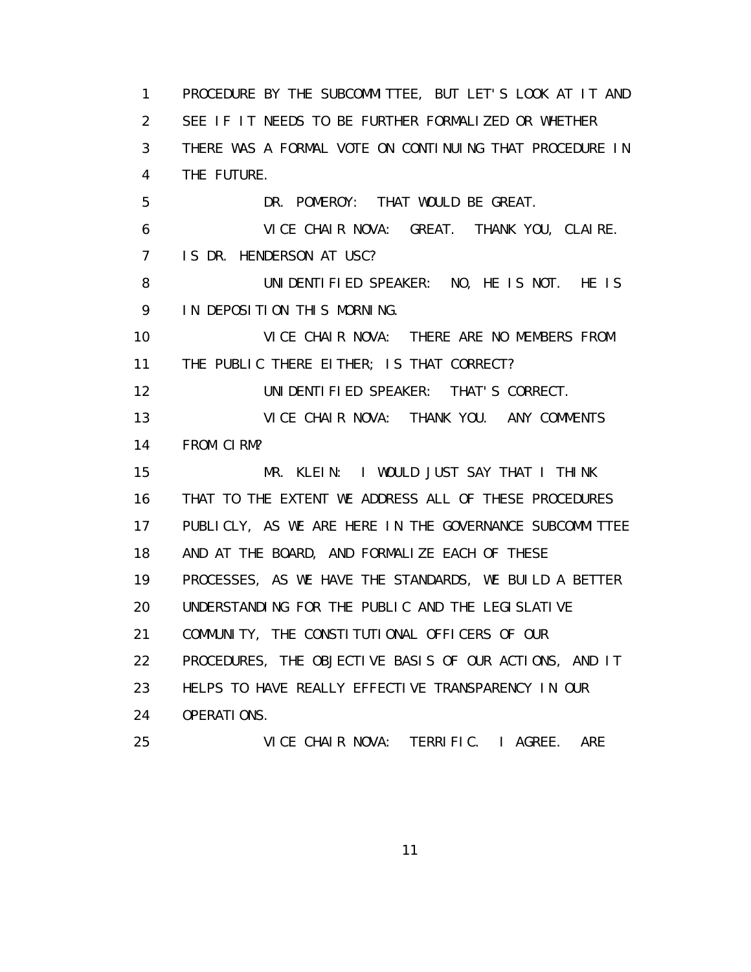1 PROCEDURE BY THE SUBCOMMITTEE, BUT LET'S LOOK AT IT AND 2 SEE IF IT NEEDS TO BE FURTHER FORMALIZED OR WHETHER 3 THERE WAS A FORMAL VOTE ON CONTINUING THAT PROCEDURE IN 4 THE FUTURE. 5 DR. POMEROY: THAT WOULD BE GREAT. 6 VICE CHAIR NOVA: GREAT. THANK YOU, CLAIRE. 7 IS DR. HENDERSON AT USC? 8 UNIDENTIFIED SPEAKER: NO, HE IS NOT. HE IS 9 IN DEPOSITION THIS MORNING. 10 VICE CHAIR NOVA: THERE ARE NO MEMBERS FROM 11 THE PUBLIC THERE EITHER; IS THAT CORRECT? 12 UNIDENTIFIED SPEAKER: THAT'S CORRECT. 13 VICE CHAIR NOVA: THANK YOU. ANY COMMENTS 14 FROM CIRM? 15 MR. KLEIN: I WOULD JUST SAY THAT I THINK 16 THAT TO THE EXTENT WE ADDRESS ALL OF THESE PROCEDURES 17 PUBLICLY, AS WE ARE HERE IN THE GOVERNANCE SUBCOMMITTEE 18 AND AT THE BOARD, AND FORMALIZE EACH OF THESE 19 PROCESSES, AS WE HAVE THE STANDARDS, WE BUILD A BETTER 20 UNDERSTANDING FOR THE PUBLIC AND THE LEGISLATIVE 21 COMMUNITY, THE CONSTITUTIONAL OFFICERS OF OUR 22 PROCEDURES, THE OBJECTIVE BASIS OF OUR ACTIONS, AND IT 23 HELPS TO HAVE REALLY EFFECTIVE TRANSPARENCY IN OUR 24 OPERATIONS. 25 VICE CHAIR NOVA: TERRIFIC. I AGREE. ARE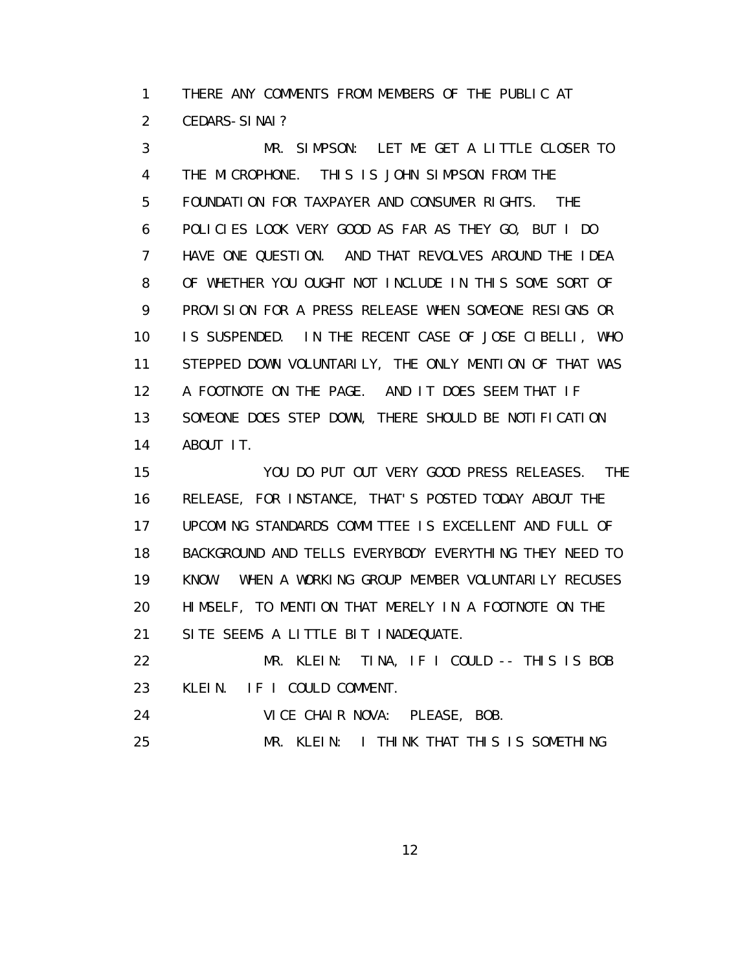1 THERE ANY COMMENTS FROM MEMBERS OF THE PUBLIC AT 2 CEDARS-SINAI?

 3 MR. SIMPSON: LET ME GET A LITTLE CLOSER TO 4 THE MICROPHONE. THIS IS JOHN SIMPSON FROM THE 5 FOUNDATION FOR TAXPAYER AND CONSUMER RIGHTS. THE 6 POLICIES LOOK VERY GOOD AS FAR AS THEY GO, BUT I DO 7 HAVE ONE QUESTION. AND THAT REVOLVES AROUND THE IDEA 8 OF WHETHER YOU OUGHT NOT INCLUDE IN THIS SOME SORT OF 9 PROVISION FOR A PRESS RELEASE WHEN SOMEONE RESIGNS OR 10 IS SUSPENDED. IN THE RECENT CASE OF JOSE CIBELLI, WHO 11 STEPPED DOWN VOLUNTARILY, THE ONLY MENTION OF THAT WAS 12 A FOOTNOTE ON THE PAGE. AND IT DOES SEEM THAT IF 13 SOMEONE DOES STEP DOWN, THERE SHOULD BE NOTIFICATION 14 ABOUT IT.

 15 YOU DO PUT OUT VERY GOOD PRESS RELEASES. THE 16 RELEASE, FOR INSTANCE, THAT'S POSTED TODAY ABOUT THE 17 UPCOMING STANDARDS COMMITTEE IS EXCELLENT AND FULL OF 18 BACKGROUND AND TELLS EVERYBODY EVERYTHING THEY NEED TO 19 KNOW. WHEN A WORKING GROUP MEMBER VOLUNTARILY RECUSES 20 HIMSELF, TO MENTION THAT MERELY IN A FOOTNOTE ON THE 21 SITE SEEMS A LITTLE BIT INADEQUATE.

 22 MR. KLEIN: TINA, IF I COULD -- THIS IS BOB 23 KLEIN. IF I COULD COMMENT.

24 VICE CHAIR NOVA: PLEASE, BOB.

25 MR. KLEIN: I THINK THAT THIS IS SOMETHING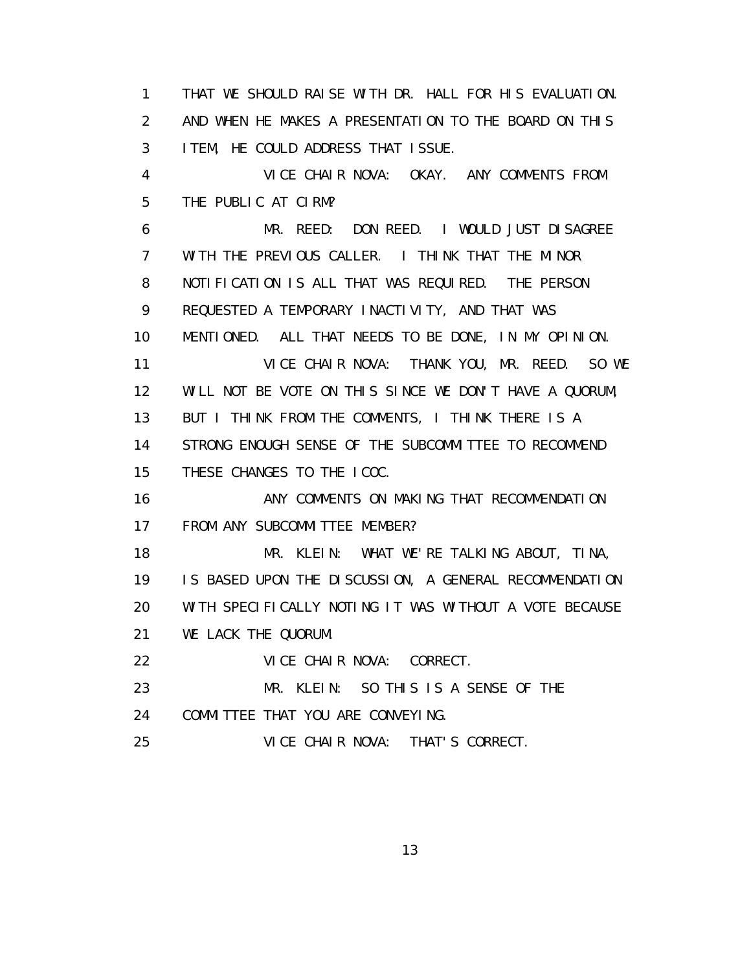1 THAT WE SHOULD RAISE WITH DR. HALL FOR HIS EVALUATION. 2 AND WHEN HE MAKES A PRESENTATION TO THE BOARD ON THIS 3 ITEM, HE COULD ADDRESS THAT ISSUE. 4 VICE CHAIR NOVA: OKAY. ANY COMMENTS FROM 5 THE PUBLIC AT CIRM? 6 MR. REED: DON REED. I WOULD JUST DISAGREE 7 WITH THE PREVIOUS CALLER. I THINK THAT THE MINOR 8 NOTIFICATION IS ALL THAT WAS REQUIRED. THE PERSON 9 REQUESTED A TEMPORARY INACTIVITY, AND THAT WAS 10 MENTIONED. ALL THAT NEEDS TO BE DONE, IN MY OPINION. 11 VICE CHAIR NOVA: THANK YOU, MR. REED. SO WE 12 WILL NOT BE VOTE ON THIS SINCE WE DON'T HAVE A QUORUM, 13 BUT I THINK FROM THE COMMENTS, I THINK THERE IS A 14 STRONG ENOUGH SENSE OF THE SUBCOMMITTEE TO RECOMMEND 15 THESE CHANGES TO THE ICOC. 16 ANY COMMENTS ON MAKING THAT RECOMMENDATION 17 FROM ANY SUBCOMMITTEE MEMBER? 18 MR. KLEIN: WHAT WE'RE TALKING ABOUT, TINA, 19 IS BASED UPON THE DISCUSSION, A GENERAL RECOMMENDATION 20 WITH SPECIFICALLY NOTING IT WAS WITHOUT A VOTE BECAUSE 21 WE LACK THE QUORUM. 22 VICE CHAIR NOVA: CORRECT. 23 MR. KLEIN: SO THIS IS A SENSE OF THE 24 COMMITTEE THAT YOU ARE CONVEYING. 25 VICE CHAIR NOVA: THAT'S CORRECT.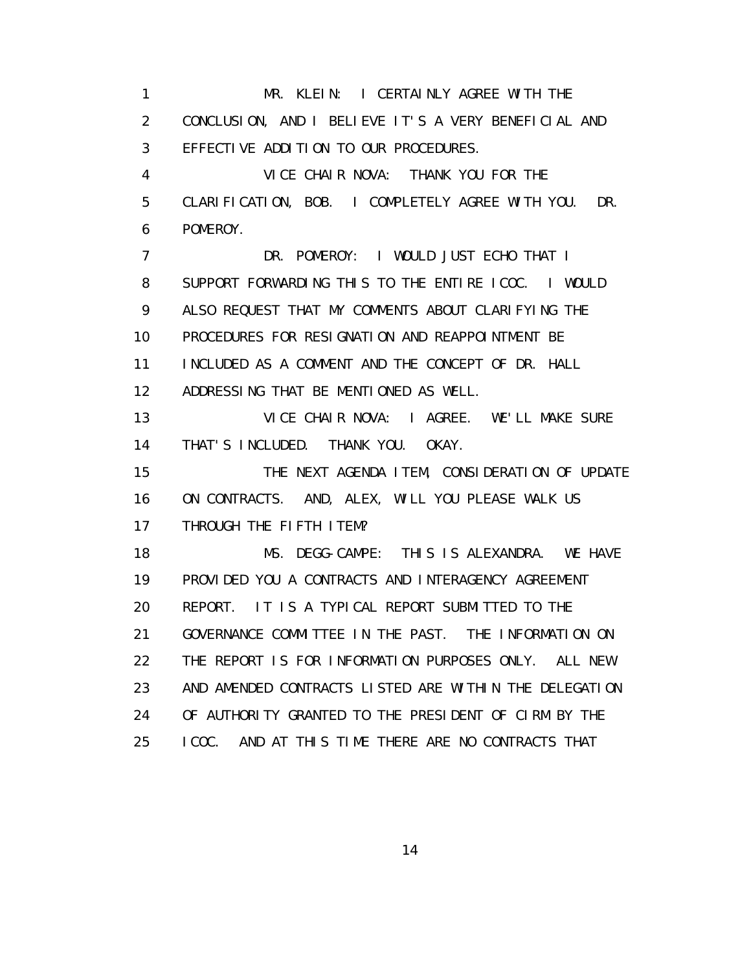1 MR. KLEIN: I CERTAINLY AGREE WITH THE 2 CONCLUSION, AND I BELIEVE IT'S A VERY BENEFICIAL AND 3 EFFECTIVE ADDITION TO OUR PROCEDURES. 4 VICE CHAIR NOVA: THANK YOU FOR THE 5 CLARIFICATION, BOB. I COMPLETELY AGREE WITH YOU. DR. 6 POMEROY. 7 DR. POMEROY: I WOULD JUST ECHO THAT I 8 SUPPORT FORWARDING THIS TO THE ENTIRE ICOC. I WOULD 9 ALSO REQUEST THAT MY COMMENTS ABOUT CLARIFYING THE 10 PROCEDURES FOR RESIGNATION AND REAPPOINTMENT BE 11 INCLUDED AS A COMMENT AND THE CONCEPT OF DR. HALL 12 ADDRESSING THAT BE MENTIONED AS WELL. 13 VICE CHAIR NOVA: I AGREE. WE'LL MAKE SURE 14 THAT'S INCLUDED. THANK YOU. OKAY. 15 THE NEXT AGENDA ITEM, CONSIDERATION OF UPDATE 16 ON CONTRACTS. AND, ALEX, WILL YOU PLEASE WALK US 17 THROUGH THE FIFTH ITEM? 18 MS. DEGG-CAMPE: THIS IS ALEXANDRA. WE HAVE 19 PROVIDED YOU A CONTRACTS AND INTERAGENCY AGREEMENT 20 REPORT. IT IS A TYPICAL REPORT SUBMITTED TO THE 21 GOVERNANCE COMMITTEE IN THE PAST. THE INFORMATION ON 22 THE REPORT IS FOR INFORMATION PURPOSES ONLY. ALL NEW 23 AND AMENDED CONTRACTS LISTED ARE WITHIN THE DELEGATION 24 OF AUTHORITY GRANTED TO THE PRESIDENT OF CIRM BY THE 25 ICOC. AND AT THIS TIME THERE ARE NO CONTRACTS THAT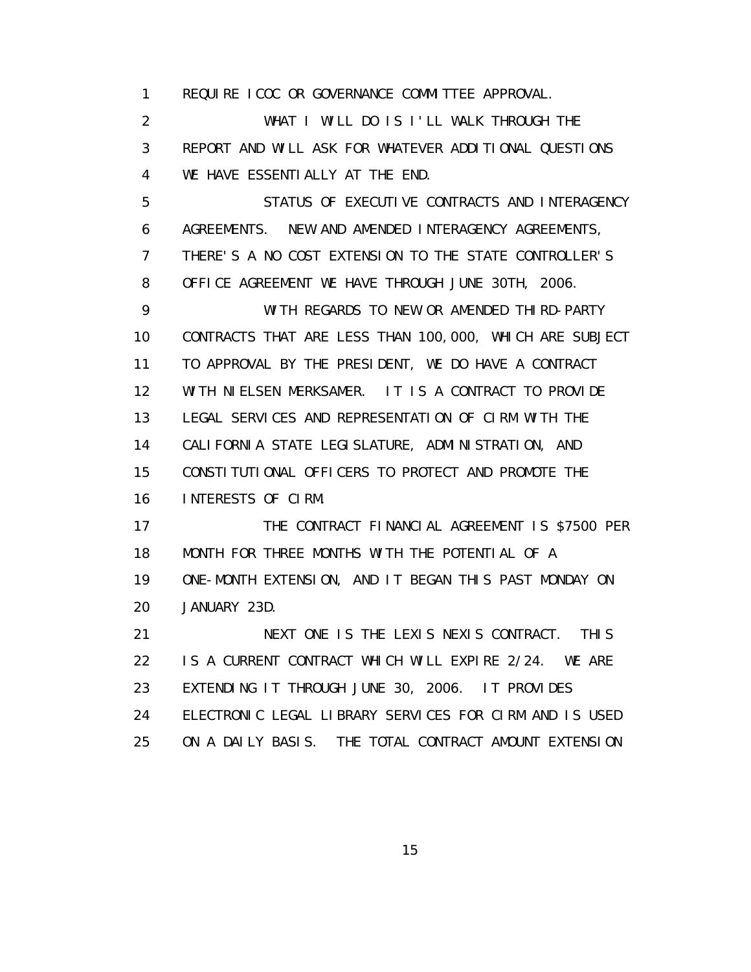1 REQUIRE ICOC OR GOVERNANCE COMMITTEE APPROVAL.

 2 WHAT I WILL DO IS I'LL WALK THROUGH THE 3 REPORT AND WILL ASK FOR WHATEVER ADDITIONAL QUESTIONS 4 WE HAVE ESSENTIALLY AT THE END.

 5 STATUS OF EXECUTIVE CONTRACTS AND INTERAGENCY 6 AGREEMENTS. NEW AND AMENDED INTERAGENCY AGREEMENTS, 7 THERE'S A NO COST EXTENSION TO THE STATE CONTROLLER'S 8 OFFICE AGREEMENT WE HAVE THROUGH JUNE 30TH, 2006.

 9 WITH REGARDS TO NEW OR AMENDED THIRD-PARTY 10 CONTRACTS THAT ARE LESS THAN 100,000, WHICH ARE SUBJECT 11 TO APPROVAL BY THE PRESIDENT, WE DO HAVE A CONTRACT 12 WITH NIELSEN MERKSAMER. IT IS A CONTRACT TO PROVIDE 13 LEGAL SERVICES AND REPRESENTATION OF CIRM WITH THE 14 CALIFORNIA STATE LEGISLATURE, ADMINISTRATION, AND 15 CONSTITUTIONAL OFFICERS TO PROTECT AND PROMOTE THE 16 INTERESTS OF CIRM.

17 THE CONTRACT FINANCIAL AGREEMENT IS \$7500 PER 18 MONTH FOR THREE MONTHS WITH THE POTENTIAL OF A 19 ONE-MONTH EXTENSION, AND IT BEGAN THIS PAST MONDAY ON 20 JANUARY 23D.

21 NEXT ONE IS THE LEXIS NEXIS CONTRACT. THIS 22 IS A CURRENT CONTRACT WHICH WILL EXPIRE 2/24. WE ARE 23 EXTENDING IT THROUGH JUNE 30, 2006. IT PROVIDES 24 ELECTRONIC LEGAL LIBRARY SERVICES FOR CIRM AND IS USED 25 ON A DAILY BASIS. THE TOTAL CONTRACT AMOUNT EXTENSION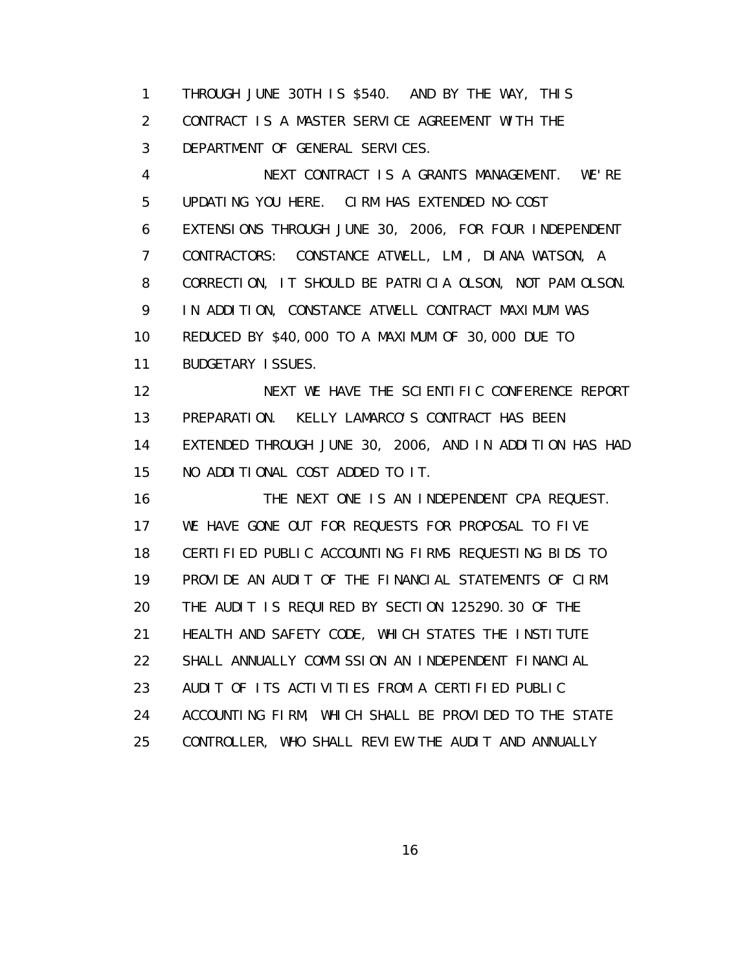1 THROUGH JUNE 30TH IS \$540. AND BY THE WAY, THIS 2 CONTRACT IS A MASTER SERVICE AGREEMENT WITH THE 3 DEPARTMENT OF GENERAL SERVICES.

 4 NEXT CONTRACT IS A GRANTS MANAGEMENT. WE'RE 5 UPDATING YOU HERE. CIRM HAS EXTENDED NO-COST 6 EXTENSIONS THROUGH JUNE 30, 2006, FOR FOUR INDEPENDENT 7 CONTRACTORS: CONSTANCE ATWELL, LMI, DIANA WATSON, A 8 CORRECTION, IT SHOULD BE PATRICIA OLSON, NOT PAM OLSON. 9 IN ADDITION, CONSTANCE ATWELL CONTRACT MAXIMUM WAS 10 REDUCED BY \$40,000 TO A MAXIMUM OF 30,000 DUE TO 11 BUDGETARY ISSUES. 12 NEXT WE HAVE THE SCIENTIFIC CONFERENCE REPORT 13 PREPARATION. KELLY LAMARCO'S CONTRACT HAS BEEN 14 EXTENDED THROUGH JUNE 30, 2006, AND IN ADDITION HAS HAD 15 NO ADDITIONAL COST ADDED TO IT. 16 THE NEXT ONE IS AN INDEPENDENT CPA REQUEST. 17 WE HAVE GONE OUT FOR REQUESTS FOR PROPOSAL TO FIVE 18 CERTIFIED PUBLIC ACCOUNTING FIRMS REQUESTING BIDS TO 19 PROVIDE AN AUDIT OF THE FINANCIAL STATEMENTS OF CIRM. 20 THE AUDIT IS REQUIRED BY SECTION 125290.30 OF THE 21 HEALTH AND SAFETY CODE, WHICH STATES THE INSTITUTE 22 SHALL ANNUALLY COMMISSION AN INDEPENDENT FINANCIAL 23 AUDIT OF ITS ACTIVITIES FROM A CERTIFIED PUBLIC 24 ACCOUNTING FIRM, WHICH SHALL BE PROVIDED TO THE STATE

25 CONTROLLER, WHO SHALL REVIEW THE AUDIT AND ANNUALLY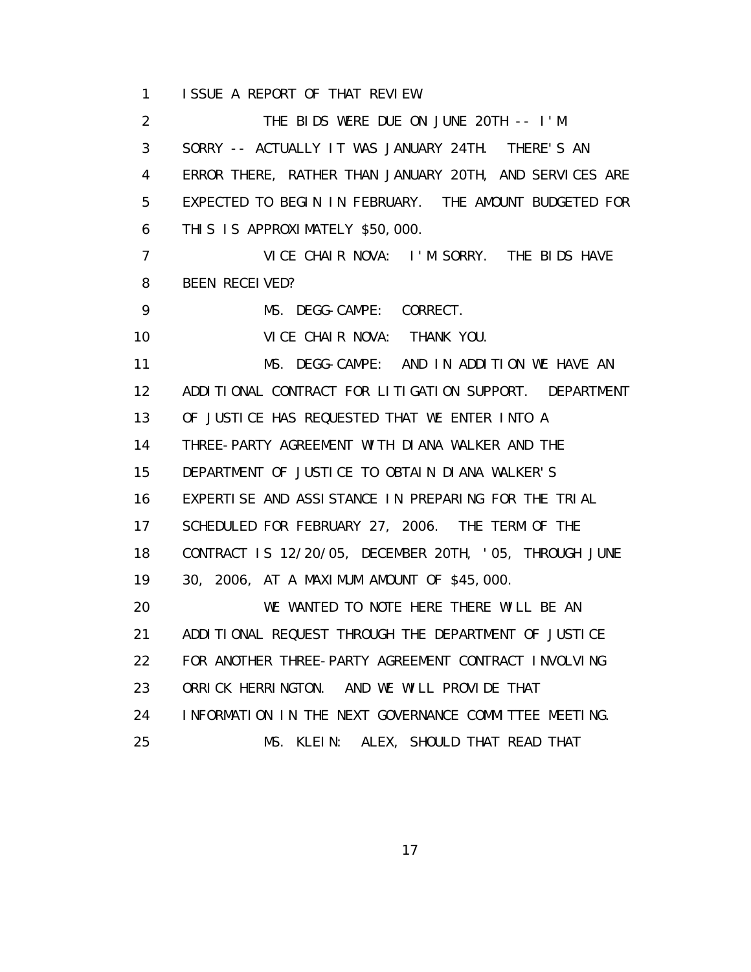1 ISSUE A REPORT OF THAT REVIEW.

 2 THE BIDS WERE DUE ON JUNE 20TH -- I'M 3 SORRY -- ACTUALLY IT WAS JANUARY 24TH. THERE'S AN 4 ERROR THERE, RATHER THAN JANUARY 20TH, AND SERVICES ARE 5 EXPECTED TO BEGIN IN FEBRUARY. THE AMOUNT BUDGETED FOR 6 THIS IS APPROXIMATELY \$50,000. 7 VICE CHAIR NOVA: I'M SORRY. THE BIDS HAVE 8 BEEN RECEIVED? 9 MS. DEGG-CAMPE: CORRECT. 10 VICE CHAIR NOVA: THANK YOU. 11 MS. DEGG-CAMPE: AND IN ADDITION WE HAVE AN 12 ADDITIONAL CONTRACT FOR LITIGATION SUPPORT. DEPARTMENT 13 OF JUSTICE HAS REQUESTED THAT WE ENTER INTO A 14 THREE-PARTY AGREEMENT WITH DIANA WALKER AND THE 15 DEPARTMENT OF JUSTICE TO OBTAIN DIANA WALKER'S 16 EXPERTISE AND ASSISTANCE IN PREPARING FOR THE TRIAL 17 SCHEDULED FOR FEBRUARY 27, 2006. THE TERM OF THE 18 CONTRACT IS 12/20/05, DECEMBER 20TH, '05, THROUGH JUNE 19 30, 2006, AT A MAXIMUM AMOUNT OF \$45,000. 20 WE WANTED TO NOTE HERE THERE WILL BE AN 21 ADDITIONAL REQUEST THROUGH THE DEPARTMENT OF JUSTICE 22 FOR ANOTHER THREE-PARTY AGREEMENT CONTRACT INVOLVING 23 ORRICK HERRINGTON. AND WE WILL PROVIDE THAT 24 INFORMATION IN THE NEXT GOVERNANCE COMMITTEE MEETING. 25 MS. KLEIN: ALEX, SHOULD THAT READ THAT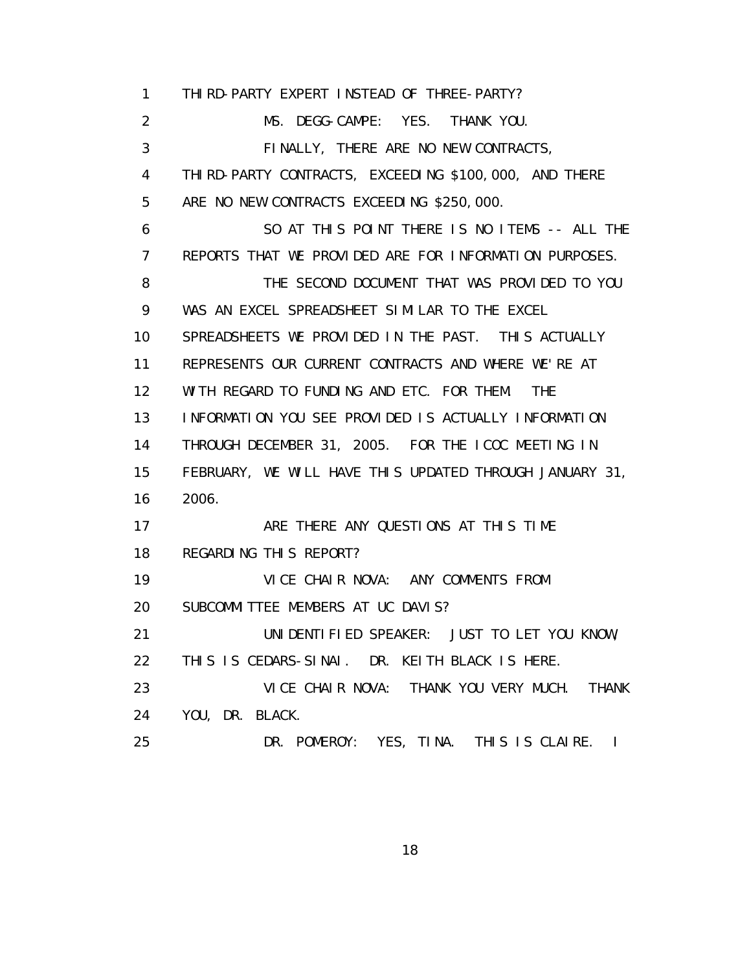1 THIRD-PARTY EXPERT INSTEAD OF THREE-PARTY? 2 MS. DEGG-CAMPE: YES. THANK YOU. 3 FINALLY, THERE ARE NO NEW CONTRACTS, 4 THIRD-PARTY CONTRACTS, EXCEEDING \$100,000, AND THERE 5 ARE NO NEW CONTRACTS EXCEEDING \$250,000. 6 SO AT THIS POINT THERE IS NO ITEMS -- ALL THE 7 REPORTS THAT WE PROVIDED ARE FOR INFORMATION PURPOSES. 8 THE SECOND DOCUMENT THAT WAS PROVIDED TO YOU 9 WAS AN EXCEL SPREADSHEET SIMILAR TO THE EXCEL 10 SPREADSHEETS WE PROVIDED IN THE PAST. THIS ACTUALLY 11 REPRESENTS OUR CURRENT CONTRACTS AND WHERE WE'RE AT 12 WITH REGARD TO FUNDING AND ETC. FOR THEM. THE 13 INFORMATION YOU SEE PROVIDED IS ACTUALLY INFORMATION 14 THROUGH DECEMBER 31, 2005. FOR THE ICOC MEETING IN 15 FEBRUARY, WE WILL HAVE THIS UPDATED THROUGH JANUARY 31, 16 2006. 17 ARE THERE ANY QUESTIONS AT THIS TIME 18 REGARDING THIS REPORT? 19 VICE CHAIR NOVA: ANY COMMENTS FROM 20 SUBCOMMITTEE MEMBERS AT UC DAVIS? 21 UNIDENTIFIED SPEAKER: JUST TO LET YOU KNOW, 22 THIS IS CEDARS-SINAI. DR. KEITH BLACK IS HERE. 23 VICE CHAIR NOVA: THANK YOU VERY MUCH. THANK 24 YOU, DR. BLACK. 25 DR. POMEROY: YES, TINA. THIS IS CLAIRE. I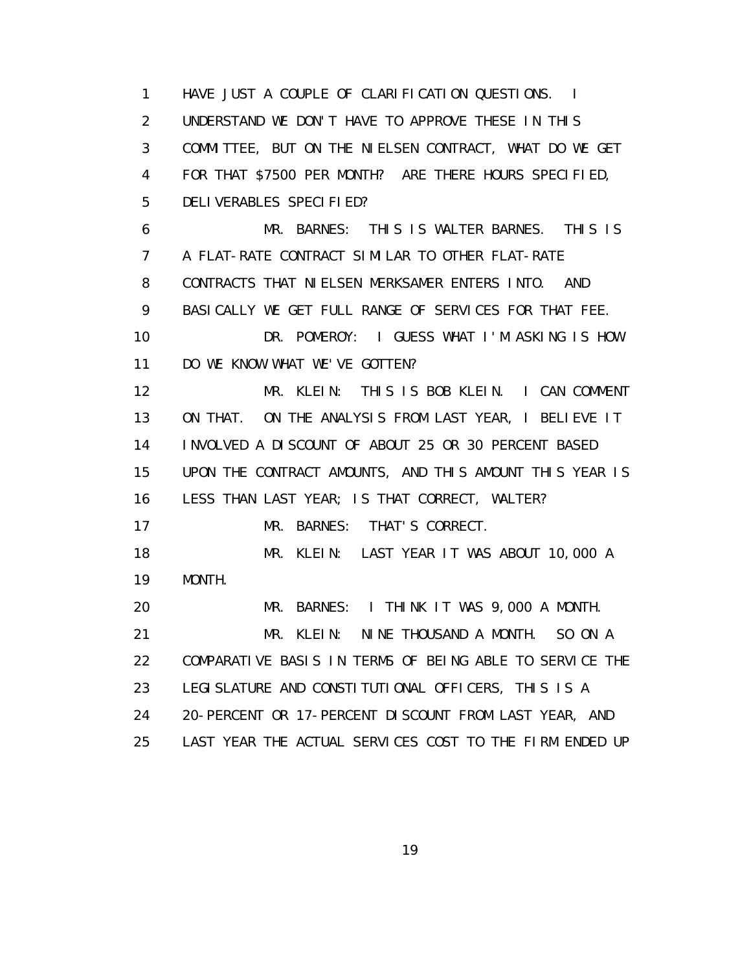1 HAVE JUST A COUPLE OF CLARIFICATION QUESTIONS. I 2 UNDERSTAND WE DON'T HAVE TO APPROVE THESE IN THIS 3 COMMITTEE, BUT ON THE NIELSEN CONTRACT, WHAT DO WE GET 4 FOR THAT \$7500 PER MONTH? ARE THERE HOURS SPECIFIED, 5 DELIVERABLES SPECIFIED? 6 MR. BARNES: THIS IS WALTER BARNES. THIS IS 7 A FLAT-RATE CONTRACT SIMILAR TO OTHER FLAT-RATE 8 CONTRACTS THAT NIELSEN MERKSAMER ENTERS INTO. AND 9 BASICALLY WE GET FULL RANGE OF SERVICES FOR THAT FEE. 10 DR. POMEROY: I GUESS WHAT I'M ASKING IS HOW 11 DO WE KNOW WHAT WE'VE GOTTEN? 12 MR. KLEIN: THIS IS BOB KLEIN. I CAN COMMENT 13 ON THAT. ON THE ANALYSIS FROM LAST YEAR, I BELIEVE IT 14 INVOLVED A DISCOUNT OF ABOUT 25 OR 30 PERCENT BASED 15 UPON THE CONTRACT AMOUNTS, AND THIS AMOUNT THIS YEAR IS 16 LESS THAN LAST YEAR; IS THAT CORRECT, WALTER? 17 MR. BARNES: THAT'S CORRECT. 18 MR. KLEIN: LAST YEAR IT WAS ABOUT 10,000 A 19 MONTH. 20 MR. BARNES: I THINK IT WAS 9,000 A MONTH. 21 MR. KLEIN: NINE THOUSAND A MONTH. SO ON A 22 COMPARATIVE BASIS IN TERMS OF BEING ABLE TO SERVICE THE 23 LEGISLATURE AND CONSTITUTIONAL OFFICERS, THIS IS A 24 20-PERCENT OR 17-PERCENT DISCOUNT FROM LAST YEAR, AND 25 LAST YEAR THE ACTUAL SERVICES COST TO THE FIRM ENDED UP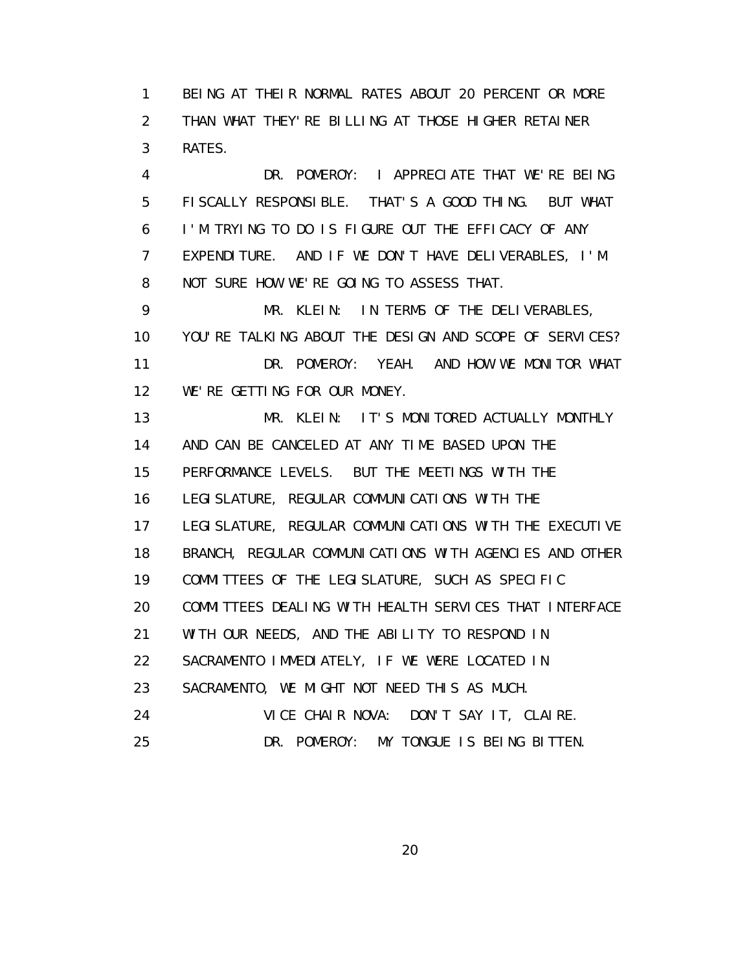1 BEING AT THEIR NORMAL RATES ABOUT 20 PERCENT OR MORE 2 THAN WHAT THEY'RE BILLING AT THOSE HIGHER RETAINER 3 RATES.

 4 DR. POMEROY: I APPRECIATE THAT WE'RE BEING 5 FISCALLY RESPONSIBLE. THAT'S A GOOD THING. BUT WHAT 6 I'M TRYING TO DO IS FIGURE OUT THE EFFICACY OF ANY 7 EXPENDITURE. AND IF WE DON'T HAVE DELIVERABLES, I'M 8 NOT SURE HOW WE'RE GOING TO ASSESS THAT.

 9 MR. KLEIN: IN TERMS OF THE DELIVERABLES, 10 YOU'RE TALKING ABOUT THE DESIGN AND SCOPE OF SERVICES? 11 DR. POMEROY: YEAH. AND HOW WE MONITOR WHAT 12 WE'RE GETTING FOR OUR MONEY.

 13 MR. KLEIN: IT'S MONITORED ACTUALLY MONTHLY 14 AND CAN BE CANCELED AT ANY TIME BASED UPON THE 15 PERFORMANCE LEVELS. BUT THE MEETINGS WITH THE 16 LEGISLATURE, REGULAR COMMUNICATIONS WITH THE 17 LEGISLATURE, REGULAR COMMUNICATIONS WITH THE EXECUTIVE 18 BRANCH, REGULAR COMMUNICATIONS WITH AGENCIES AND OTHER 19 COMMITTEES OF THE LEGISLATURE, SUCH AS SPECIFIC 20 COMMITTEES DEALING WITH HEALTH SERVICES THAT INTERFACE 21 WITH OUR NEEDS, AND THE ABILITY TO RESPOND IN 22 SACRAMENTO IMMEDIATELY, IF WE WERE LOCATED IN 23 SACRAMENTO, WE MIGHT NOT NEED THIS AS MUCH. 24 VICE CHAIR NOVA: DON'T SAY IT, CLAIRE. 25 DR. POMEROY: MY TONGUE IS BEING BITTEN.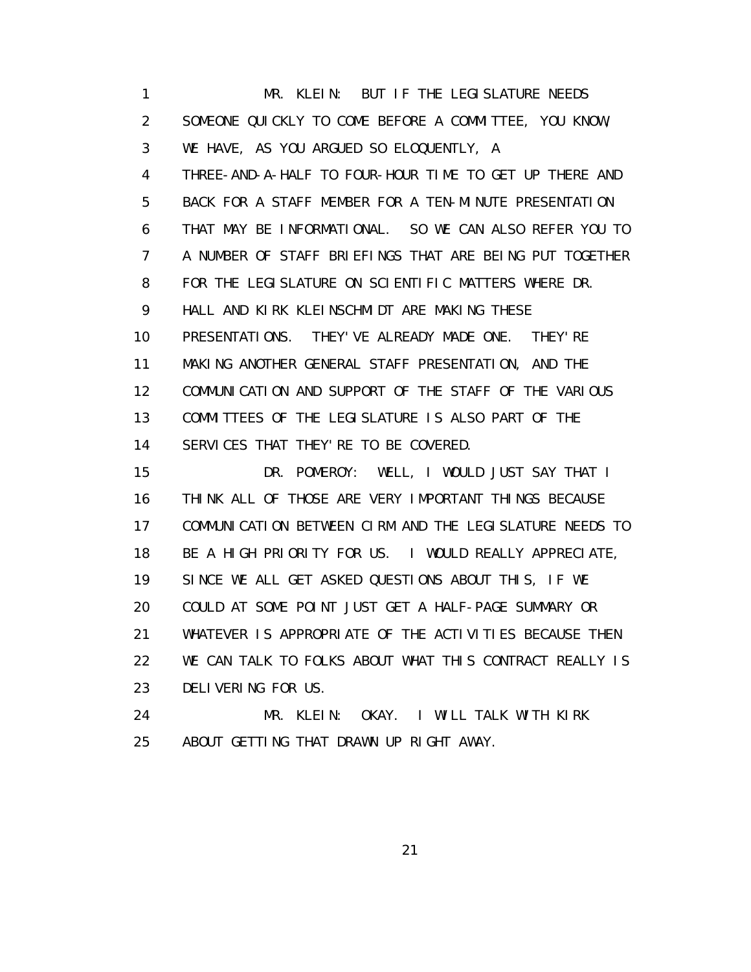1 MR. KLEIN: BUT IF THE LEGISLATURE NEEDS 2 SOMEONE QUICKLY TO COME BEFORE A COMMITTEE, YOU KNOW, 3 WE HAVE, AS YOU ARGUED SO ELOQUENTLY, A 4 THREE-AND-A-HALF TO FOUR-HOUR TIME TO GET UP THERE AND 5 BACK FOR A STAFF MEMBER FOR A TEN-MINUTE PRESENTATION 6 THAT MAY BE INFORMATIONAL. SO WE CAN ALSO REFER YOU TO 7 A NUMBER OF STAFF BRIEFINGS THAT ARE BEING PUT TOGETHER 8 FOR THE LEGISLATURE ON SCIENTIFIC MATTERS WHERE DR. 9 HALL AND KIRK KLEINSCHMIDT ARE MAKING THESE 10 PRESENTATIONS. THEY'VE ALREADY MADE ONE. THEY'RE 11 MAKING ANOTHER GENERAL STAFF PRESENTATION, AND THE 12 COMMUNICATION AND SUPPORT OF THE STAFF OF THE VARIOUS 13 COMMITTEES OF THE LEGISLATURE IS ALSO PART OF THE 14 SERVICES THAT THEY'RE TO BE COVERED. 15 DR. POMEROY: WELL, I WOULD JUST SAY THAT I 16 THINK ALL OF THOSE ARE VERY IMPORTANT THINGS BECAUSE 17 COMMUNICATION BETWEEN CIRM AND THE LEGISLATURE NEEDS TO 18 BE A HIGH PRIORITY FOR US. I WOULD REALLY APPRECIATE, 19 SINCE WE ALL GET ASKED QUESTIONS ABOUT THIS, IF WE 20 COULD AT SOME POINT JUST GET A HALF-PAGE SUMMARY OR 21 WHATEVER IS APPROPRIATE OF THE ACTIVITIES BECAUSE THEN 22 WE CAN TALK TO FOLKS ABOUT WHAT THIS CONTRACT REALLY IS 23 DELIVERING FOR US.

 24 MR. KLEIN: OKAY. I WILL TALK WITH KIRK 25 ABOUT GETTING THAT DRAWN UP RIGHT AWAY.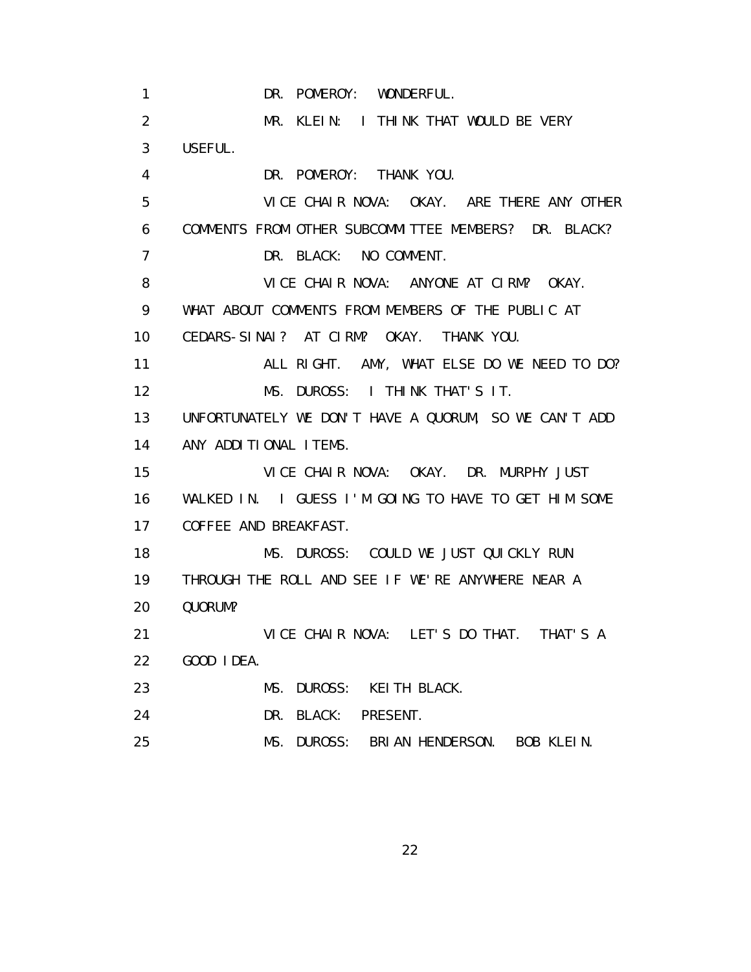1 DR. POMEROY: WONDERFUL. 2 MR. KLEIN: I THINK THAT WOULD BE VERY 3 USEFUL. 4 DR. POMEROY: THANK YOU. 5 VICE CHAIR NOVA: OKAY. ARE THERE ANY OTHER 6 COMMENTS FROM OTHER SUBCOMMITTEE MEMBERS? DR. BLACK? 7 DR. BLACK: NO COMMENT. 8 VICE CHAIR NOVA: ANYONE AT CIRM? OKAY. 9 WHAT ABOUT COMMENTS FROM MEMBERS OF THE PUBLIC AT 10 CEDARS-SINAI? AT CIRM? OKAY. THANK YOU. 11 ALL RIGHT. AMY, WHAT ELSE DO WE NEED TO DO? 12 MS. DUROSS: I THINK THAT'S IT. 13 UNFORTUNATELY WE DON'T HAVE A QUORUM, SO WE CAN'T ADD 14 ANY ADDITIONAL ITEMS. 15 VICE CHAIR NOVA: OKAY. DR. MURPHY JUST 16 WALKED IN. I GUESS I'M GOING TO HAVE TO GET HIM SOME 17 COFFEE AND BREAKFAST. 18 MS. DUROSS: COULD WE JUST QUICKLY RUN 19 THROUGH THE ROLL AND SEE IF WE'RE ANYWHERE NEAR A 20 QUORUM? 21 VICE CHAIR NOVA: LET'S DO THAT. THAT'S A 22 GOOD IDEA. 23 MS. DUROSS: KEITH BLACK. 24 DR. BLACK: PRESENT. 25 MS. DUROSS: BRIAN HENDERSON. BOB KLEIN.

<u>22</u>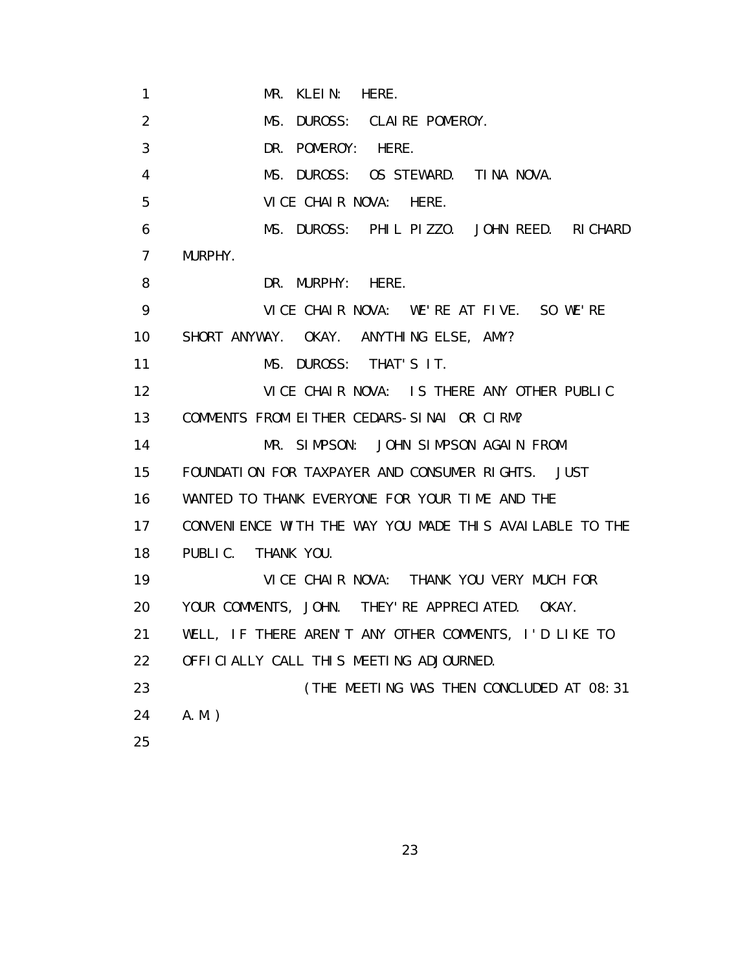1 MR. KLEIN: HERE. 2 MS. DUROSS: CLAIRE POMEROY. 3 DR. POMEROY: HERE. 4 MS. DUROSS: OS STEWARD. TINA NOVA. 5 VICE CHAIR NOVA: HERE. 6 MS. DUROSS: PHIL PIZZO. JOHN REED. RICHARD 7 MURPHY. 8 DR. MURPHY: HERE. 9 VICE CHAIR NOVA: WE'RE AT FIVE. SO WE'RE 10 SHORT ANYWAY. OKAY. ANYTHING ELSE, AMY? 11 MS. DUROSS: THAT'S IT. 12 VICE CHAIR NOVA: IS THERE ANY OTHER PUBLIC 13 COMMENTS FROM EITHER CEDARS-SINAI OR CIRM? 14 MR. SIMPSON: JOHN SIMPSON AGAIN FROM 15 FOUNDATION FOR TAXPAYER AND CONSUMER RIGHTS. JUST 16 WANTED TO THANK EVERYONE FOR YOUR TIME AND THE 17 CONVENIENCE WITH THE WAY YOU MADE THIS AVAILABLE TO THE 18 PUBLIC. THANK YOU. 19 VICE CHAIR NOVA: THANK YOU VERY MUCH FOR 20 YOUR COMMENTS, JOHN. THEY'RE APPRECIATED. OKAY. 21 WELL, IF THERE AREN'T ANY OTHER COMMENTS, I'D LIKE TO 22 OFFICIALLY CALL THIS MEETING ADJOURNED. 23 **(THE MEETING WAS THEN CONCLUDED AT 08:31**  24 A.M.) 25